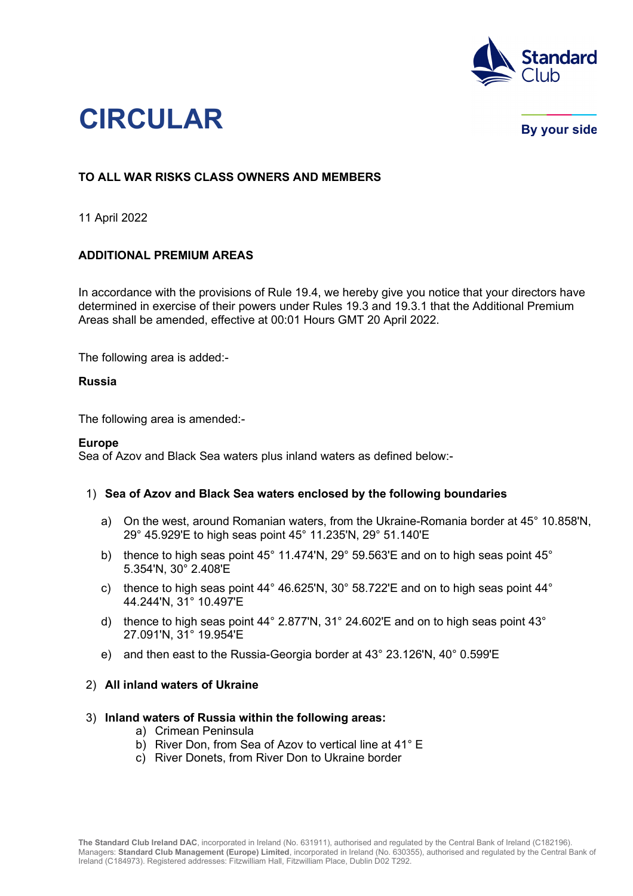

# **CIRCULAR**

**By your side** 

## **TO ALL WAR RISKS CLASS OWNERS AND MEMBERS**

11 April 2022

## **ADDITIONAL PREMIUM AREAS**

In accordance with the provisions of Rule 19.4, we hereby give you notice that your directors have determined in exercise of their powers under Rules 19.3 and 19.3.1 that the Additional Premium Areas shall be amended, effective at 00:01 Hours GMT 20 April 2022.

The following area is added:-

## **Russia**

The following area is amended:-

#### **Europe**

Sea of Azov and Black Sea waters plus inland waters as defined below:-

## 1) **Sea of Azov and Black Sea waters enclosed by the following boundaries**

- a) On the west, around Romanian waters, from the Ukraine-Romania border at 45° 10.858'N, 29° 45.929'E to high seas point 45° 11.235'N, 29° 51.140'E
- b) thence to high seas point 45° 11.474'N, 29° 59.563'E and on to high seas point 45° 5.354'N, 30° 2.408'E
- c) thence to high seas point 44° 46.625'N, 30° 58.722'E and on to high seas point 44° 44.244'N, 31° 10.497'E
- d) thence to high seas point 44° 2.877'N, 31° 24.602'E and on to high seas point 43° 27.091'N, 31° 19.954'E
- e) and then east to the Russia-Georgia border at 43° 23.126'N, 40° 0.599'E

#### 2) **All inland waters of Ukraine**

#### 3) **Inland waters of Russia within the following areas:**

- a) Crimean Peninsula
- b) River Don, from Sea of Azov to vertical line at 41° E
- c) River Donets, from River Don to Ukraine border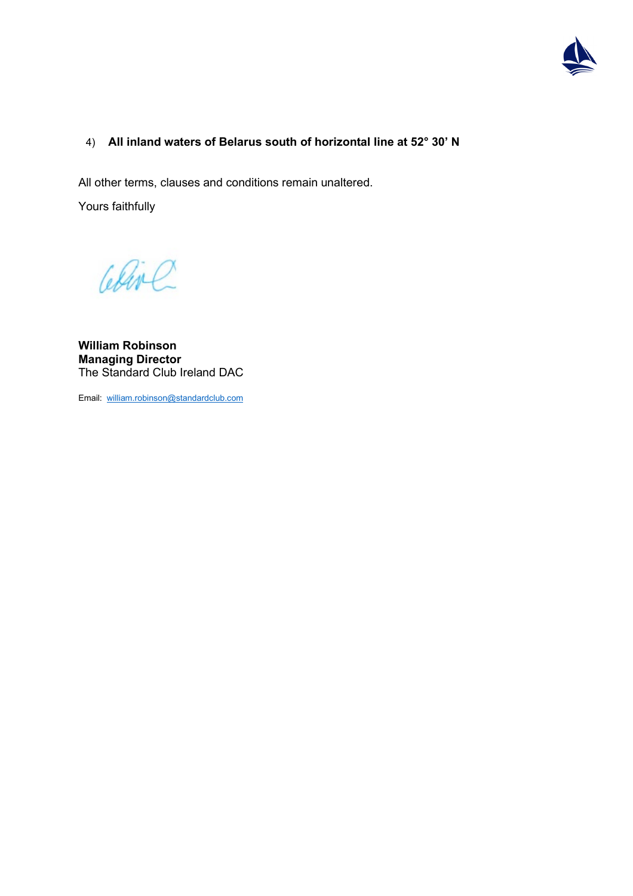

## 4) **All inland waters of Belarus south of horizontal line at 52° 30' N**

All other terms, clauses and conditions remain unaltered.

Yours faithfully

Celina

**William Robinson Managing Director** The Standard Club Ireland DAC

Email: [william.robinson@standardclub.com](mailto:william.robinson@standardclub.com)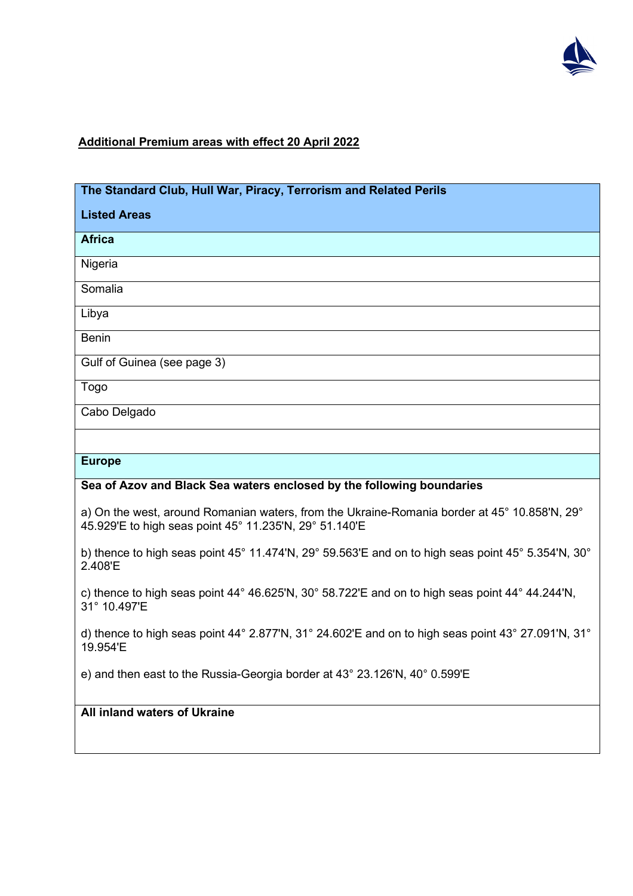

## **Additional Premium areas with effect 20 April 2022**

| The Standard Club, Hull War, Piracy, Terrorism and Related Perils                                                                                      |
|--------------------------------------------------------------------------------------------------------------------------------------------------------|
| <b>Listed Areas</b>                                                                                                                                    |
| <b>Africa</b>                                                                                                                                          |
| Nigeria                                                                                                                                                |
| Somalia                                                                                                                                                |
| Libya                                                                                                                                                  |
| <b>Benin</b>                                                                                                                                           |
| Gulf of Guinea (see page 3)                                                                                                                            |
| Togo                                                                                                                                                   |
| Cabo Delgado                                                                                                                                           |
|                                                                                                                                                        |
| <b>Europe</b>                                                                                                                                          |
| Sea of Azov and Black Sea waters enclosed by the following boundaries                                                                                  |
| a) On the west, around Romanian waters, from the Ukraine-Romania border at 45° 10.858'N, 29°<br>45.929'E to high seas point 45° 11.235'N, 29° 51.140'E |
| b) thence to high seas point 45° 11.474'N, 29° 59.563'E and on to high seas point 45° 5.354'N, 30°<br>2.408'E                                          |
| c) thence to high seas point 44° 46.625'N, 30° 58.722'E and on to high seas point 44° 44.244'N,<br>31° 10.497'E                                        |
| d) thence to high seas point 44° 2.877'N, 31° 24.602'E and on to high seas point 43° 27.091'N, 31°<br>19.954'E                                         |
| e) and then east to the Russia-Georgia border at 43° 23.126'N, 40° 0.599'E                                                                             |
| All inland waters of Ukraine                                                                                                                           |
|                                                                                                                                                        |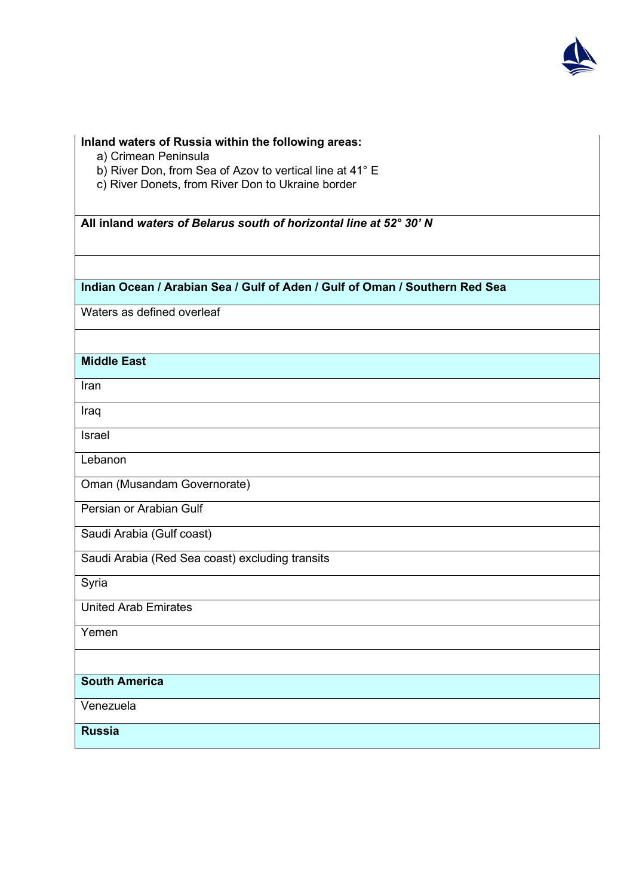

| Inland waters of Russia within the following areas:                         |
|-----------------------------------------------------------------------------|
| a) Crimean Peninsula                                                        |
| b) River Don, from Sea of Azov to vertical line at 41° E                    |
| c) River Donets, from River Don to Ukraine border                           |
|                                                                             |
| All inland waters of Belarus south of horizontal line at 52° 30' N          |
| Indian Ocean / Arabian Sea / Gulf of Aden / Gulf of Oman / Southern Red Sea |
| Waters as defined overleaf                                                  |
|                                                                             |
| <b>Middle East</b>                                                          |
| Iran                                                                        |
| Iraq                                                                        |
| Israel                                                                      |
| Lebanon                                                                     |
| Oman (Musandam Governorate)                                                 |
| Persian or Arabian Gulf                                                     |
| Saudi Arabia (Gulf coast)                                                   |
| Saudi Arabia (Red Sea coast) excluding transits                             |
| Syria                                                                       |
| <b>United Arab Emirates</b>                                                 |
| Yemen                                                                       |
|                                                                             |
| <b>South America</b>                                                        |
| Venezuela                                                                   |
| <b>Russia</b>                                                               |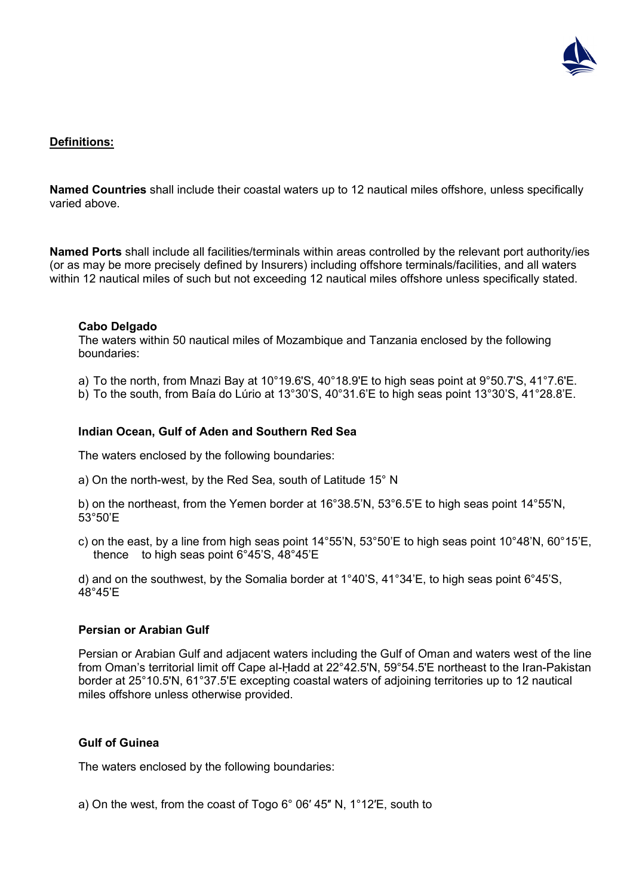

## **Definitions:**

**Named Countries** shall include their coastal waters up to 12 nautical miles offshore, unless specifically varied above.

**Named Ports** shall include all facilities/terminals within areas controlled by the relevant port authority/ies (or as may be more precisely defined by Insurers) including offshore terminals/facilities, and all waters within 12 nautical miles of such but not exceeding 12 nautical miles offshore unless specifically stated.

## **Cabo Delgado**

The waters within 50 nautical miles of Mozambique and Tanzania enclosed by the following boundaries:

- a) To the north, from Mnazi Bay at 10°19.6'S, 40°18.9'E to high seas point at 9°50.7'S, 41°7.6'E.
- b) To the south, from Baía do Lúrio at 13°30'S, 40°31.6'E to high seas point 13°30'S, 41°28.8'E.

## **Indian Ocean, Gulf of Aden and Southern Red Sea**

The waters enclosed by the following boundaries:

a) On the north-west, by the Red Sea, south of Latitude 15° N

b) on the northeast, from the Yemen border at 16°38.5'N, 53°6.5'E to high seas point 14°55'N, 53°50'E

c) on the east, by a line from high seas point 14°55'N, 53°50'E to high seas point 10°48'N, 60°15'E, thence to high seas point 6°45'S, 48°45'E

d) and on the southwest, by the Somalia border at 1°40'S, 41°34'E, to high seas point 6°45'S,  $48^{\circ}45'$ F

#### **Persian or Arabian Gulf**

Persian or Arabian Gulf and adjacent waters including the Gulf of Oman and waters west of the line from Oman's territorial limit off Cape al-Ḥadd at 22°42.5'N, 59°54.5'E northeast to the Iran-Pakistan border at 25°10.5'N, 61°37.5'E excepting coastal waters of adjoining territories up to 12 nautical miles offshore unless otherwise provided.

## **Gulf of Guinea**

The waters enclosed by the following boundaries:

a) On the west, from the coast of Togo 6° 06′ 45″ N, 1°12′E, south to